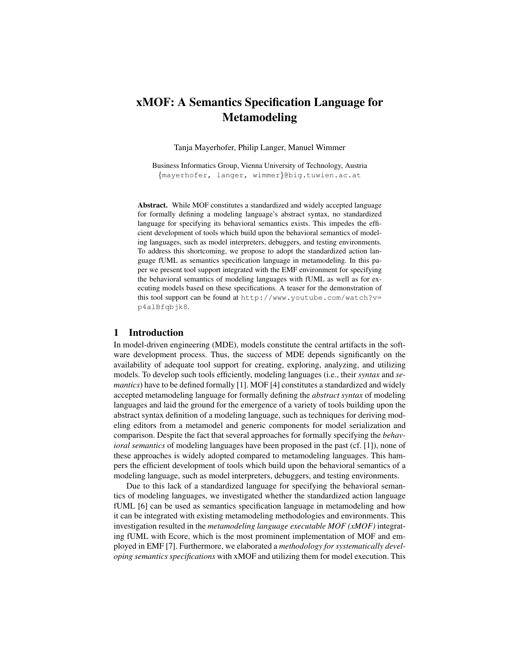# xMOF: A Semantics Specification Language for Metamodeling

Tanja Mayerhofer, Philip Langer, Manuel Wimmer

Business Informatics Group, Vienna University of Technology, Austria {mayerhofer, langer, wimmer}@big.tuwien.ac.at

Abstract. While MOF constitutes a standardized and widely accepted language for formally defining a modeling language's abstract syntax, no standardized language for specifying its behavioral semantics exists. This impedes the efficient development of tools which build upon the behavioral semantics of modeling languages, such as model interpreters, debuggers, and testing environments. To address this shortcoming, we propose to adopt the standardized action language fUML as semantics specification language in metamodeling. In this paper we present tool support integrated with the EMF environment for specifying the behavioral semantics of modeling languages with fUML as well as for executing models based on these specifications. A teaser for the demonstration of this tool support can be found at http://www.youtube.com/watch?v= p4alBfqbjk8.

#### 1 Introduction

In model-driven engineering (MDE), models constitute the central artifacts in the software development process. Thus, the success of MDE depends significantly on the availability of adequate tool support for creating, exploring, analyzing, and utilizing models. To develop such tools efficiently, modeling languages (i.e., their *syntax* and *semantics*) have to be defined formally [1]. MOF [4] constitutes a standardized and widely accepted metamodeling language for formally defining the *abstract syntax* of modeling languages and laid the ground for the emergence of a variety of tools building upon the abstract syntax definition of a modeling language, such as techniques for deriving modeling editors from a metamodel and generic components for model serialization and comparison. Despite the fact that several approaches for formally specifying the *behavioral semantics* of modeling languages have been proposed in the past (cf. [1]), none of these approaches is widely adopted compared to metamodeling languages. This hampers the efficient development of tools which build upon the behavioral semantics of a modeling language, such as model interpreters, debuggers, and testing environments.

Due to this lack of a standardized language for specifying the behavioral semantics of modeling languages, we investigated whether the standardized action language fUML [6] can be used as semantics specification language in metamodeling and how it can be integrated with existing metamodeling methodologies and environments. This investigation resulted in the *metamodeling language executable MOF (xMOF)* integrating fUML with Ecore, which is the most prominent implementation of MOF and employed in EMF [7]. Furthermore, we elaborated a *methodology for systematically developing semantics specifications* with xMOF and utilizing them for model execution. This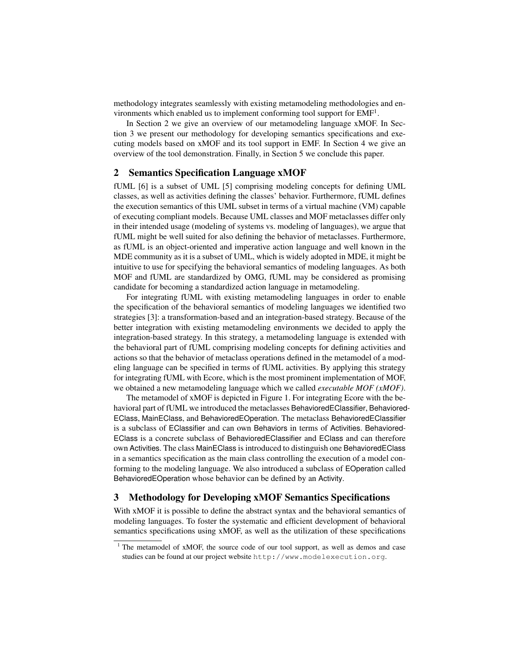methodology integrates seamlessly with existing metamodeling methodologies and environments which enabled us to implement conforming tool support for  $EMF<sup>1</sup>$ .

In Section 2 we give an overview of our metamodeling language xMOF. In Section 3 we present our methodology for developing semantics specifications and executing models based on xMOF and its tool support in EMF. In Section 4 we give an overview of the tool demonstration. Finally, in Section 5 we conclude this paper.

## 2 Semantics Specification Language xMOF

fUML [6] is a subset of UML [5] comprising modeling concepts for defining UML classes, as well as activities defining the classes' behavior. Furthermore, fUML defines the execution semantics of this UML subset in terms of a virtual machine (VM) capable of executing compliant models. Because UML classes and MOF metaclasses differ only in their intended usage (modeling of systems vs. modeling of languages), we argue that fUML might be well suited for also defining the behavior of metaclasses. Furthermore, as fUML is an object-oriented and imperative action language and well known in the MDE community as it is a subset of UML, which is widely adopted in MDE, it might be intuitive to use for specifying the behavioral semantics of modeling languages. As both MOF and fUML are standardized by OMG, fUML may be considered as promising candidate for becoming a standardized action language in metamodeling.

For integrating fUML with existing metamodeling languages in order to enable the specification of the behavioral semantics of modeling languages we identified two strategies [3]: a transformation-based and an integration-based strategy. Because of the better integration with existing metamodeling environments we decided to apply the integration-based strategy. In this strategy, a metamodeling language is extended with the behavioral part of fUML comprising modeling concepts for defining activities and actions so that the behavior of metaclass operations defined in the metamodel of a modeling language can be specified in terms of fUML activities. By applying this strategy for integrating fUML with Ecore, which is the most prominent implementation of MOF, we obtained a new metamodeling language which we called *executable MOF (xMOF)*.

The metamodel of xMOF is depicted in Figure 1. For integrating Ecore with the behavioral part of fUML we introduced the metaclasses BehavioredEClassifier, Behaviored-EClass, MainEClass, and BehavioredEOperation. The metaclass BehavioredEClassifier is a subclass of EClassifier and can own Behaviors in terms of Activities. Behaviored-EClass is a concrete subclass of BehavioredEClassifier and EClass and can therefore own Activities. The class MainEClass is introduced to distinguish one BehavioredEClass in a semantics specification as the main class controlling the execution of a model conforming to the modeling language. We also introduced a subclass of EOperation called BehavioredEOperation whose behavior can be defined by an Activity.

#### 3 Methodology for Developing xMOF Semantics Specifications

With xMOF it is possible to define the abstract syntax and the behavioral semantics of modeling languages. To foster the systematic and efficient development of behavioral semantics specifications using xMOF, as well as the utilization of these specifications

<sup>&</sup>lt;sup>1</sup> The metamodel of xMOF, the source code of our tool support, as well as demos and case studies can be found at our project website http://www.modelexecution.org.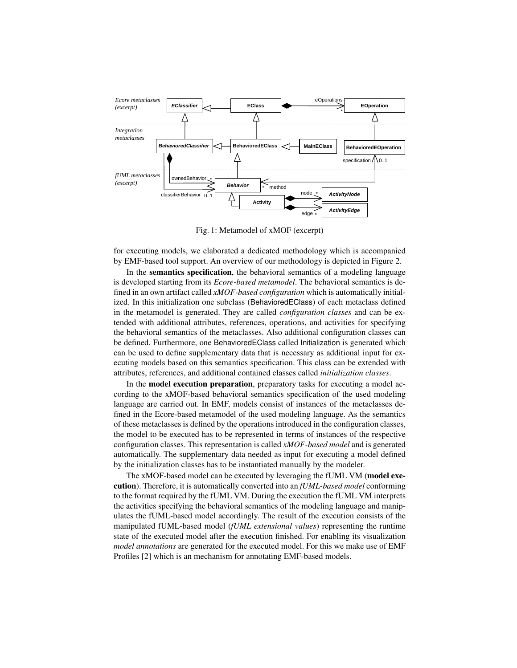

Fig. 1: Metamodel of xMOF (excerpt)

for executing models, we elaborated a dedicated methodology which is accompanied by EMF-based tool support. An overview of our methodology is depicted in Figure 2.

In the semantics specification, the behavioral semantics of a modeling language is developed starting from its *Ecore-based metamodel*. The behavioral semantics is defined in an own artifact called *xMOF-based configuration* which is automatically initialized. In this initialization one subclass (BehavioredEClass) of each metaclass defined in the metamodel is generated. They are called *configuration classes* and can be extended with additional attributes, references, operations, and activities for specifying the behavioral semantics of the metaclasses. Also additional configuration classes can be defined. Furthermore, one BehavioredEClass called Initialization is generated which can be used to define supplementary data that is necessary as additional input for executing models based on this semantics specification. This class can be extended with attributes, references, and additional contained classes called *initialization classes*.

In the model execution preparation, preparatory tasks for executing a model according to the xMOF-based behavioral semantics specification of the used modeling language are carried out. In EMF, models consist of instances of the metaclasses defined in the Ecore-based metamodel of the used modeling language. As the semantics of these metaclasses is defined by the operations introduced in the configuration classes, the model to be executed has to be represented in terms of instances of the respective configuration classes. This representation is called *xMOF-based model* and is generated automatically. The supplementary data needed as input for executing a model defined by the initialization classes has to be instantiated manually by the modeler.

The xMOF-based model can be executed by leveraging the fUML VM (model execution). Therefore, it is automatically converted into an *fUML-based model* conforming to the format required by the fUML VM. During the execution the fUML VM interprets the activities specifying the behavioral semantics of the modeling language and manipulates the fUML-based model accordingly. The result of the execution consists of the manipulated fUML-based model (*fUML extensional values*) representing the runtime state of the executed model after the execution finished. For enabling its visualization *model annotations* are generated for the executed model. For this we make use of EMF Profiles [2] which is an mechanism for annotating EMF-based models.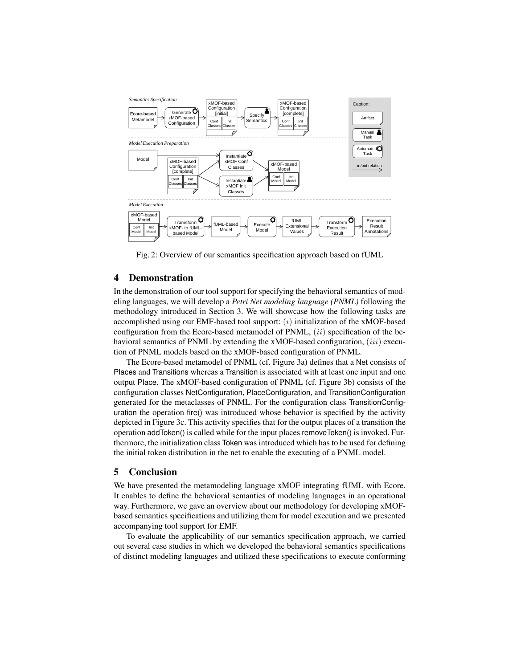

Fig. 2: Overview of our semantics specification approach based on fUML

# 4 Demonstration

In the demonstration of our tool support for specifying the behavioral semantics of modeling languages, we will develop a *Petri Net modeling language (PNML)* following the methodology introduced in Section 3. We will showcase how the following tasks are accomplished using our EMF-based tool support:  $(i)$  initialization of the xMOF-based configuration from the Ecore-based metamodel of PNML,  $(ii)$  specification of the behavioral semantics of PNML by extending the xMOF-based configuration,  $(iii)$  execution of PNML models based on the xMOF-based configuration of PNML.

The Ecore-based metamodel of PNML (cf. Figure 3a) defines that a Net consists of Places and Transitions whereas a Transition is associated with at least one input and one output Place. The xMOF-based configuration of PNML (cf. Figure 3b) consists of the configuration classes NetConfiguration, PlaceConfiguration, and TransitionConfiguration generated for the metaclasses of PNML. For the configuration class TransitionConfiguration the operation fire() was introduced whose behavior is specified by the activity depicted in Figure 3c. This activity specifies that for the output places of a transition the operation addToken() is called while for the input places removeToken() is invoked. Furthermore, the initialization class Token was introduced which has to be used for defining the initial token distribution in the net to enable the executing of a PNML model.

## 5 Conclusion

We have presented the metamodeling language xMOF integrating fUML with Ecore. It enables to define the behavioral semantics of modeling languages in an operational way. Furthermore, we gave an overview about our methodology for developing xMOFbased semantics specifications and utilizing them for model execution and we presented accompanying tool support for EMF.

To evaluate the applicability of our semantics specification approach, we carried out several case studies in which we developed the behavioral semantics specifications of distinct modeling languages and utilized these specifications to execute conforming